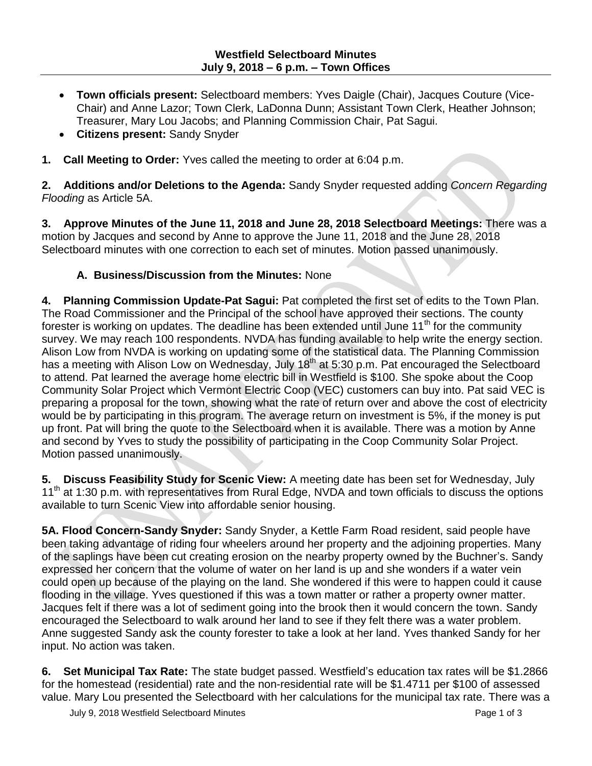- **Town officials present:** Selectboard members: Yves Daigle (Chair), Jacques Couture (Vice-Chair) and Anne Lazor; Town Clerk, LaDonna Dunn; Assistant Town Clerk, Heather Johnson; Treasurer, Mary Lou Jacobs; and Planning Commission Chair, Pat Sagui.
- **Citizens present:** Sandy Snyder
- **1. Call Meeting to Order:** Yves called the meeting to order at 6:04 p.m.

**2. Additions and/or Deletions to the Agenda:** Sandy Snyder requested adding *Concern Regarding Flooding* as Article 5A.

**3. Approve Minutes of the June 11, 2018 and June 28, 2018 Selectboard Meetings:** There was a motion by Jacques and second by Anne to approve the June 11, 2018 and the June 28, 2018 Selectboard minutes with one correction to each set of minutes. Motion passed unanimously.

## **A. Business/Discussion from the Minutes:** None

**4. Planning Commission Update-Pat Sagui:** Pat completed the first set of edits to the Town Plan. The Road Commissioner and the Principal of the school have approved their sections. The county forester is working on updates. The deadline has been extended until June 11<sup>th</sup> for the community survey. We may reach 100 respondents. NVDA has funding available to help write the energy section. Alison Low from NVDA is working on updating some of the statistical data. The Planning Commission has a meeting with Alison Low on Wednesday, July 18<sup>th</sup> at 5:30 p.m. Pat encouraged the Selectboard to attend. Pat learned the average home electric bill in Westfield is \$100. She spoke about the Coop Community Solar Project which Vermont Electric Coop (VEC) customers can buy into. Pat said VEC is preparing a proposal for the town, showing what the rate of return over and above the cost of electricity would be by participating in this program. The average return on investment is 5%, if the money is put up front. Pat will bring the quote to the Selectboard when it is available. There was a motion by Anne and second by Yves to study the possibility of participating in the Coop Community Solar Project. Motion passed unanimously.

**5. Discuss Feasibility Study for Scenic View:** A meeting date has been set for Wednesday, July 11<sup>th</sup> at 1:30 p.m. with representatives from Rural Edge, NVDA and town officials to discuss the options available to turn Scenic View into affordable senior housing.

**5A. Flood Concern-Sandy Snyder:** Sandy Snyder, a Kettle Farm Road resident, said people have been taking advantage of riding four wheelers around her property and the adjoining properties. Many of the saplings have been cut creating erosion on the nearby property owned by the Buchner's. Sandy expressed her concern that the volume of water on her land is up and she wonders if a water vein could open up because of the playing on the land. She wondered if this were to happen could it cause flooding in the village. Yves questioned if this was a town matter or rather a property owner matter. Jacques felt if there was a lot of sediment going into the brook then it would concern the town. Sandy encouraged the Selectboard to walk around her land to see if they felt there was a water problem. Anne suggested Sandy ask the county forester to take a look at her land. Yves thanked Sandy for her input. No action was taken.

**6. Set Municipal Tax Rate:** The state budget passed. Westfield's education tax rates will be \$1.2866 for the homestead (residential) rate and the non-residential rate will be \$1.4711 per \$100 of assessed value. Mary Lou presented the Selectboard with her calculations for the municipal tax rate. There was a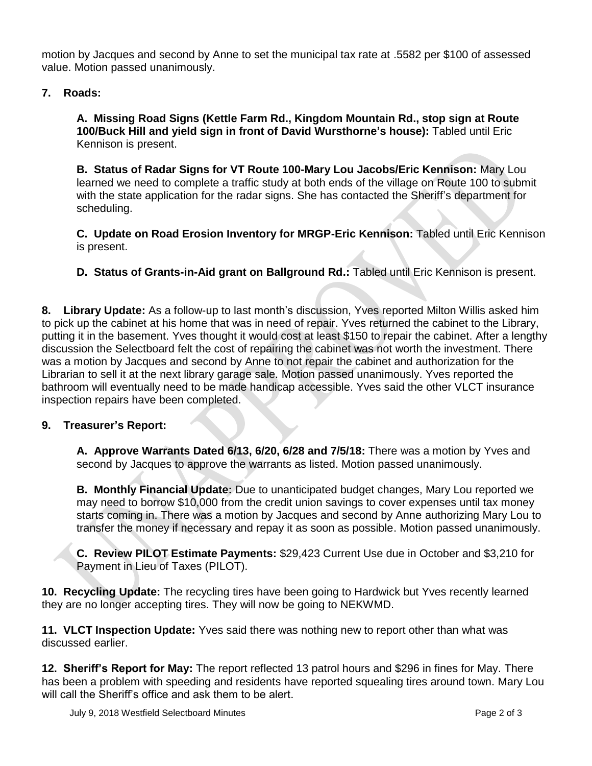motion by Jacques and second by Anne to set the municipal tax rate at .5582 per \$100 of assessed value. Motion passed unanimously.

## **7. Roads:**

**A. Missing Road Signs (Kettle Farm Rd., Kingdom Mountain Rd., stop sign at Route 100/Buck Hill and yield sign in front of David Wursthorne's house):** Tabled until Eric Kennison is present.

**B. Status of Radar Signs for VT Route 100-Mary Lou Jacobs/Eric Kennison:** Mary Lou learned we need to complete a traffic study at both ends of the village on Route 100 to submit with the state application for the radar signs. She has contacted the Sheriff's department for scheduling.

**C. Update on Road Erosion Inventory for MRGP-Eric Kennison:** Tabled until Eric Kennison is present.

**D. Status of Grants-in-Aid grant on Ballground Rd.:** Tabled until Eric Kennison is present.

**8. Library Update:** As a follow-up to last month's discussion, Yves reported Milton Willis asked him to pick up the cabinet at his home that was in need of repair. Yves returned the cabinet to the Library, putting it in the basement. Yves thought it would cost at least \$150 to repair the cabinet. After a lengthy discussion the Selectboard felt the cost of repairing the cabinet was not worth the investment. There was a motion by Jacques and second by Anne to not repair the cabinet and authorization for the Librarian to sell it at the next library garage sale. Motion passed unanimously. Yves reported the bathroom will eventually need to be made handicap accessible. Yves said the other VLCT insurance inspection repairs have been completed.

## **9. Treasurer's Report:**

**A. Approve Warrants Dated 6/13, 6/20, 6/28 and 7/5/18:** There was a motion by Yves and second by Jacques to approve the warrants as listed. Motion passed unanimously.

**B. Monthly Financial Update:** Due to unanticipated budget changes, Mary Lou reported we may need to borrow \$10,000 from the credit union savings to cover expenses until tax money starts coming in. There was a motion by Jacques and second by Anne authorizing Mary Lou to transfer the money if necessary and repay it as soon as possible. Motion passed unanimously.

**C. Review PILOT Estimate Payments:** \$29,423 Current Use due in October and \$3,210 for Payment in Lieu of Taxes (PILOT).

**10. Recycling Update:** The recycling tires have been going to Hardwick but Yves recently learned they are no longer accepting tires. They will now be going to NEKWMD.

**11. VLCT Inspection Update:** Yves said there was nothing new to report other than what was discussed earlier.

**12. Sheriff's Report for May:** The report reflected 13 patrol hours and \$296 in fines for May. There has been a problem with speeding and residents have reported squealing tires around town. Mary Lou will call the Sheriff's office and ask them to be alert.